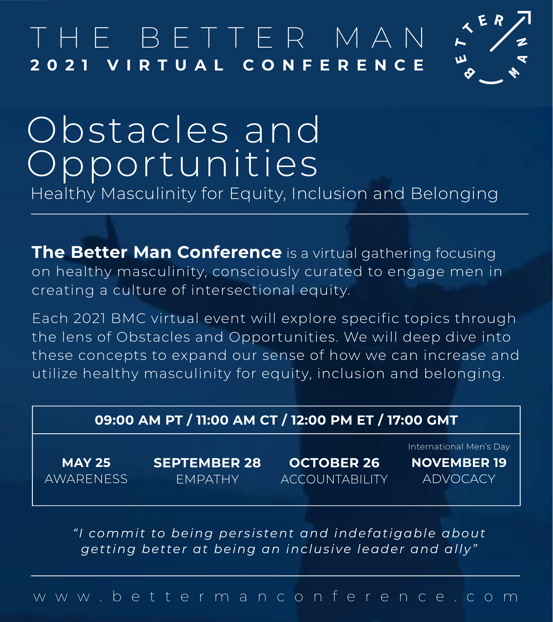# THE BE T TER MAN **2021 VIRTUAL CONFERENCE**



# Obstacles and Opportunities Healthy Masculinity for Equity, Inclusion and Belonging

**The Better Man Conference** is a virtual gathering focusing on healthy masculinity, consciously curated to engage men in creating a culture of intersectional equity.

Each 2021 BMC virtual event will explore specific topics through the lens of Obstacles and Opportunities. We will deep dive into these concepts to expand our sense of how we can increase and utilize healthy masculinity for equity, inclusion and belonging.

| 09:00 AM PT / 11:00 AM CT / 12:00 PM ET / 17:00 GMT |                                       |                                            |                                                                  |  |  |  |  |  |  |
|-----------------------------------------------------|---------------------------------------|--------------------------------------------|------------------------------------------------------------------|--|--|--|--|--|--|
| <b>MAY 25</b><br><b>AWARENESS</b>                   | <b>SEPTEMBER 28</b><br><b>EMPATHY</b> | <b>OCTOBER 26</b><br><b>ACCOUNTABILITY</b> | International Men's Day<br><b>NOVEMBER 19</b><br><b>ADVOCACY</b> |  |  |  |  |  |  |

*"I commit to being persistent and indefatigable about getting better at being an inclusive leader and ally"*

www.bettermanconference.com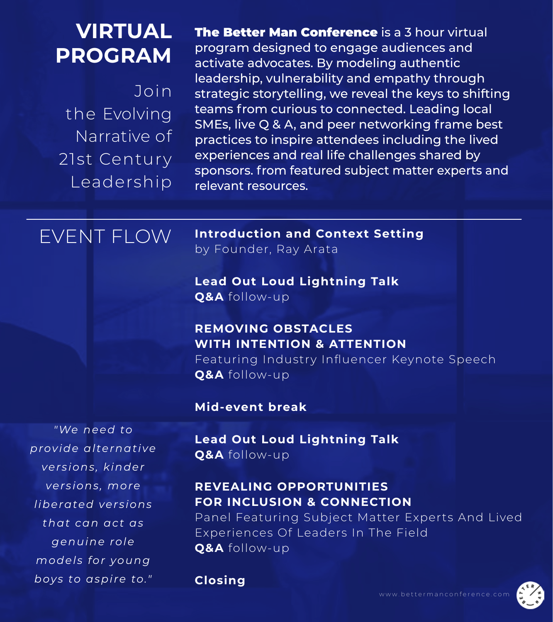Join the Evolving Narrative of 21st Century **Leadership** 

**VIRTUAL** 

**PROGRAM**

**The Better Man Conference** is a 3 hour virtual program designed to engage audiences and activate advocates. By modeling authentic leadership, vulnerability and empathy through strategic storytelling, we reveal the keys to shifting teams from curious to connected. Leading local SMEs, live Q & A, and peer networking frame best practices to inspire attendees including the lived experiences and real life challenges shared by sponsors. from featured subject matter experts and relevant resources.

## EVENT FLOW

*"We need to* 

*provide alternative* 

*versions, kinder* 

*versions, more* 

*liberated versions* 

*that can act as* 

*genuine role* 

*models for young* 

*boys to aspire to."*

**Introduction and Context Setting** by Founder, Ray Arata

**Lead Out Loud Lightning Talk Q&A** follow-up

### **REMOVING OBSTACLES WITH INTENTION & ATTENTION**

Featuring Industry Influencer Keynote Speech **Q&A** follow-up

**Mid-event break**

**Lead Out Loud Lightning Talk Q&A** follow-up

### **REVEALING OPPORTUNITIES FOR INCLUSION & CONNECTION**

Panel Featuring Subject Matter Experts And Lived Experiences Of Leaders In The Field **Q&A** follow-up

**Closing** 

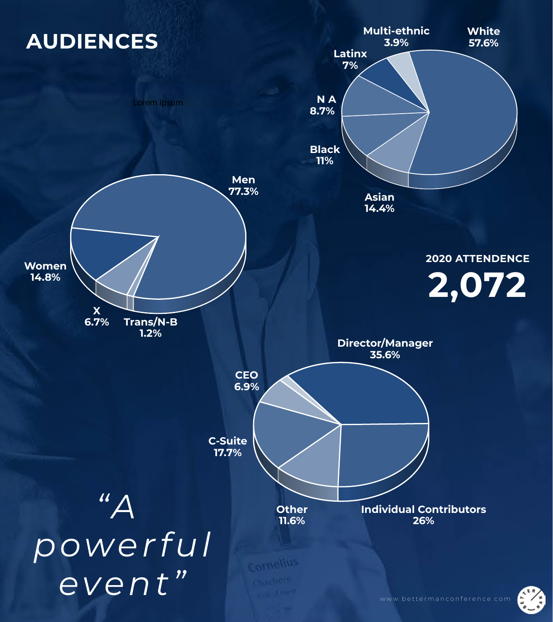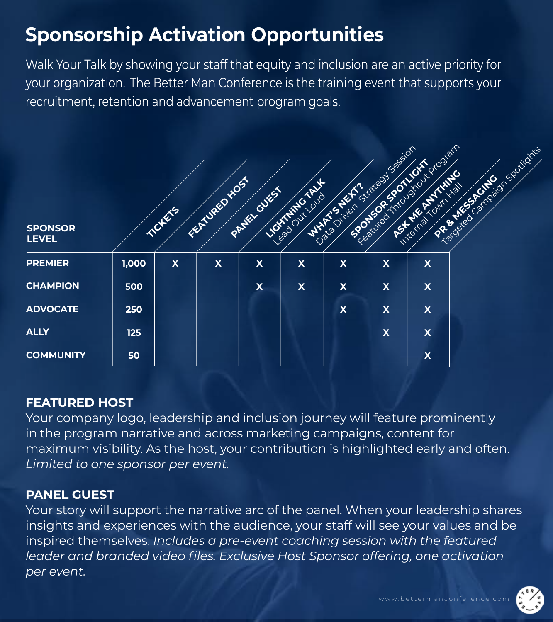## **Sponsorship Activation Opportunities**

Walk Your Talk by showing your staff that equity and inclusion are an active priority for your organization. The Better Man Conference is the training event that supports your recruitment, retention and advancement program goals.

| <b>SPONSOR</b><br><b>LEVEL</b> |       | <b>ANGELING</b>           | FEMALES NOST              | PANEL CUEST               | <b>NOTIFIED CARLS</b><br>Read Out Loud | Detailed Strategy Session<br>WHAT'S NEWS | SPORTS OF SPORTS          | Residents in Colorado dan | la de Carl Raid Sociations<br>PREMISSION |
|--------------------------------|-------|---------------------------|---------------------------|---------------------------|----------------------------------------|------------------------------------------|---------------------------|---------------------------|------------------------------------------|
| <b>PREMIER</b>                 | 1,000 | $\boldsymbol{\mathsf{X}}$ | $\boldsymbol{\mathsf{X}}$ | $\boldsymbol{\mathsf{X}}$ | $\boldsymbol{\mathsf{X}}$              | $\overline{\mathsf{X}}$                  | $\boldsymbol{\mathsf{X}}$ | $\boldsymbol{\mathsf{X}}$ |                                          |
| <b>CHAMPION</b>                | 500   |                           |                           | $\boldsymbol{\mathsf{X}}$ | $\overline{\mathbf{X}}$                | $\boldsymbol{\mathsf{X}}$                | $\boldsymbol{\mathsf{X}}$ | $\boldsymbol{\mathsf{X}}$ |                                          |
| <b>ADVOCATE</b>                | 250   |                           |                           |                           |                                        | $\overline{\mathbf{X}}$                  | $\boldsymbol{\mathsf{X}}$ | $\boldsymbol{\mathsf{X}}$ |                                          |
| <b>ALLY</b>                    | 125   |                           |                           |                           |                                        |                                          | $\boldsymbol{\mathsf{X}}$ | $\boldsymbol{\mathsf{X}}$ |                                          |
| <b>COMMUNITY</b>               | 50    |                           |                           |                           |                                        |                                          |                           | $\boldsymbol{\mathsf{X}}$ |                                          |

#### **FEATURED HOST**

Your company logo, leadership and inclusion journey will feature prominently in the program narrative and across marketing campaigns, content for maximum visibility. As the host, your contribution is highlighted early and often. *Limited to one sponsor per event.* 

#### **PANEL GUEST**

Your story will support the narrative arc of the panel. When your leadership shares insights and experiences with the audience, your staff will see your values and be inspired themselves. *Includes a pre-event coaching session with the featured*  leader and branded video files. Exclusive Host Sponsor offering, one activation *per event.* 

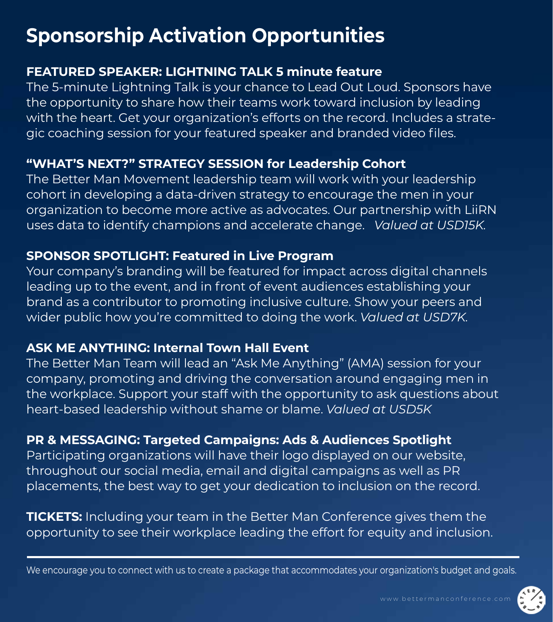# **Sponsorship Activation Opportunities**

### **FEATURED SPEAKER: LIGHTNING TALK 5 minute feature**

The 5-minute Lightning Talk is your chance to Lead Out Loud. Sponsors have the opportunity to share how their teams work toward inclusion by leading with the heart. Get your organization's efforts on the record. Includes a strategic coaching session for your featured speaker and branded video files.

### **"WHAT'S NEXT?" STRATEGY SESSION for Leadership Cohort**

The Better Man Movement leadership team will work with your leadership cohort in developing a data-driven strategy to encourage the men in your organization to become more active as advocates. Our partnership with LiiRN uses data to identify champions and accelerate change. *Valued at USD15K.*

### **SPONSOR SPOTLIGHT: Featured in Live Program**

Your company's branding will be featured for impact across digital channels leading up to the event, and in front of event audiences establishing your brand as a contributor to promoting inclusive culture. Show your peers and wider public how you're committed to doing the work. *Valued at USD7K.* 

### **ASK ME ANYTHING: Internal Town Hall Event**

The Better Man Team will lead an "Ask Me Anything" (AMA) session for your company, promoting and driving the conversation around engaging men in the workplace. Support your staff with the opportunity to ask questions about heart-based leadership without shame or blame. *Valued at USD5K*

### **PR & MESSAGING: Targeted Campaigns: Ads & Audiences Spotlight**

Participating organizations will have their logo displayed on our website, throughout our social media, email and digital campaigns as well as PR placements, the best way to get your dedication to inclusion on the record.

**TICKETS:** Including your team in the Better Man Conference gives them the opportunity to see their workplace leading the effort for equity and inclusion.

We encourage you to connect with us to create a package that accommodates your organization's budget and goals.